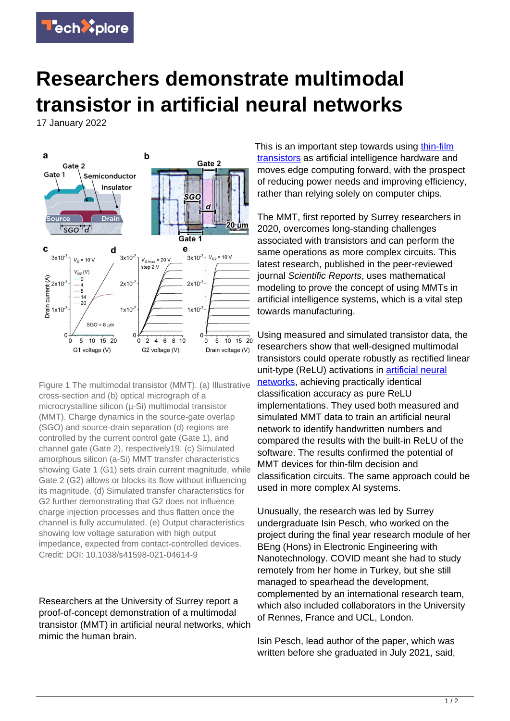

## **Researchers demonstrate multimodal transistor in artificial neural networks**

17 January 2022



Figure 1 The multimodal transistor (MMT). (a) Illustrative cross-section and (b) optical micrograph of a microcrystalline silicon (µ-Si) multimodal transistor (MMT). Charge dynamics in the source-gate overlap (SGO) and source-drain separation (d) regions are controlled by the current control gate (Gate 1), and channel gate (Gate 2), respectively19. (c) Simulated amorphous silicon (a-Si) MMT transfer characteristics showing Gate 1 (G1) sets drain current magnitude, while Gate 2 (G2) allows or blocks its flow without influencing its magnitude. (d) Simulated transfer characteristics for G2 further demonstrating that G2 does not influence charge injection processes and thus flatten once the channel is fully accumulated. (e) Output characteristics showing low voltage saturation with high output impedance, expected from contact-controlled devices. Credit: DOI: 10.1038/s41598-021-04614-9

Researchers at the University of Surrey report a proof-of-concept demonstration of a multimodal transistor (MMT) in artificial neural networks, which mimic the human brain.

This is an important step towards using [thin-film](https://techxplore.com/tags/thin-film+transistors/) [transistors](https://techxplore.com/tags/thin-film+transistors/) as artificial intelligence hardware and moves edge computing forward, with the prospect of reducing power needs and improving efficiency, rather than relying solely on computer chips.

The MMT, first reported by Surrey researchers in 2020, overcomes long-standing challenges associated with transistors and can perform the same operations as more complex circuits. This latest research, published in the peer-reviewed journal Scientific Reports, uses mathematical modeling to prove the concept of using MMTs in artificial intelligence systems, which is a vital step towards manufacturing.

Using measured and simulated transistor data, the researchers show that well-designed multimodal transistors could operate robustly as rectified linear unit-type (ReLU) activations in **[artificial neural](https://techxplore.com/tags/artificial+neural+networks/)** [networks](https://techxplore.com/tags/artificial+neural+networks/), achieving practically identical classification accuracy as pure ReLU implementations. They used both measured and simulated MMT data to train an artificial neural network to identify handwritten numbers and compared the results with the built-in ReLU of the software. The results confirmed the potential of MMT devices for thin-film decision and classification circuits. The same approach could be used in more complex AI systems.

Unusually, the research was led by Surrey undergraduate Isin Pesch, who worked on the project during the final year research module of her BEng (Hons) in Electronic Engineering with Nanotechnology. COVID meant she had to study remotely from her home in Turkey, but she still managed to spearhead the development, complemented by an international research team, which also included collaborators in the University of Rennes, France and UCL, London.

Isin Pesch, lead author of the paper, which was written before she graduated in July 2021, said,